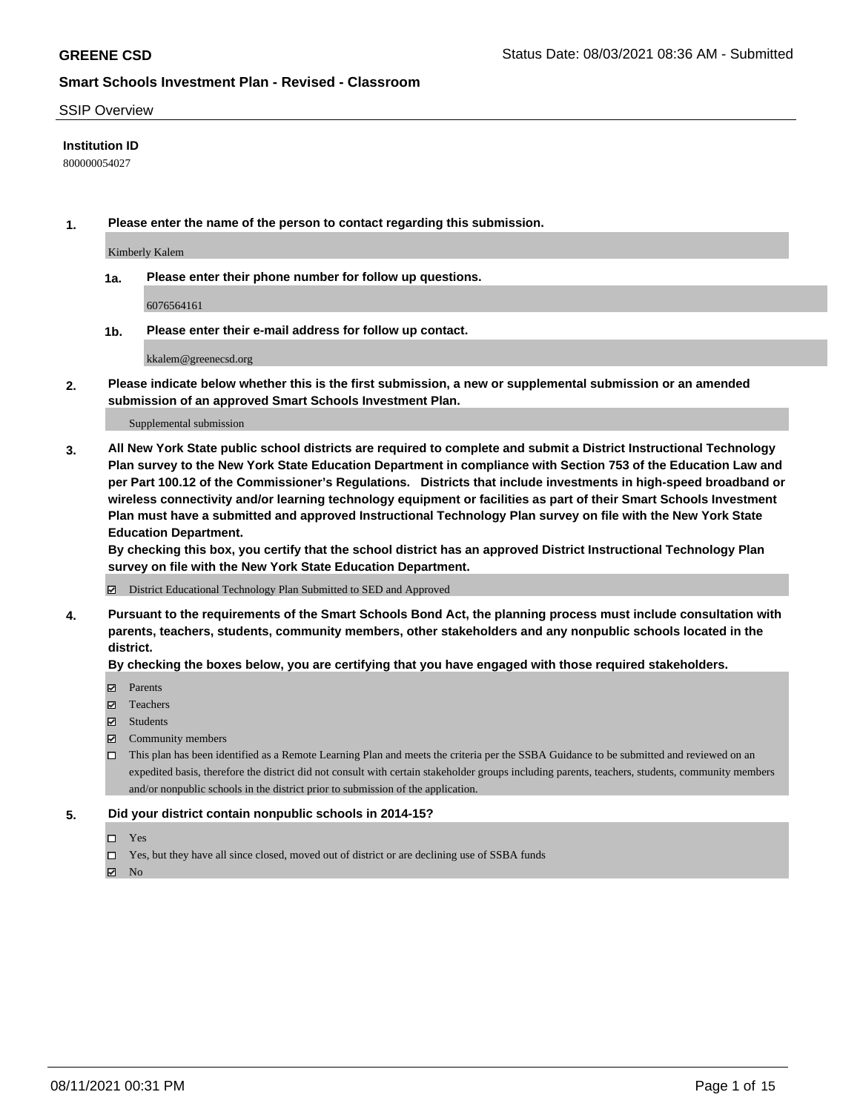### SSIP Overview

### **Institution ID**

800000054027

**1. Please enter the name of the person to contact regarding this submission.**

Kimberly Kalem

**1a. Please enter their phone number for follow up questions.**

6076564161

**1b. Please enter their e-mail address for follow up contact.**

kkalem@greenecsd.org

**2. Please indicate below whether this is the first submission, a new or supplemental submission or an amended submission of an approved Smart Schools Investment Plan.**

#### Supplemental submission

**3. All New York State public school districts are required to complete and submit a District Instructional Technology Plan survey to the New York State Education Department in compliance with Section 753 of the Education Law and per Part 100.12 of the Commissioner's Regulations. Districts that include investments in high-speed broadband or wireless connectivity and/or learning technology equipment or facilities as part of their Smart Schools Investment Plan must have a submitted and approved Instructional Technology Plan survey on file with the New York State Education Department.** 

**By checking this box, you certify that the school district has an approved District Instructional Technology Plan survey on file with the New York State Education Department.**

District Educational Technology Plan Submitted to SED and Approved

**4. Pursuant to the requirements of the Smart Schools Bond Act, the planning process must include consultation with parents, teachers, students, community members, other stakeholders and any nonpublic schools located in the district.** 

### **By checking the boxes below, you are certifying that you have engaged with those required stakeholders.**

- **Parents**
- Teachers
- Students
- $\boxtimes$  Community members
- This plan has been identified as a Remote Learning Plan and meets the criteria per the SSBA Guidance to be submitted and reviewed on an expedited basis, therefore the district did not consult with certain stakeholder groups including parents, teachers, students, community members and/or nonpublic schools in the district prior to submission of the application.
- **5. Did your district contain nonpublic schools in 2014-15?**
	- □ Yes
	- □ Yes, but they have all since closed, moved out of district or are declining use of SSBA funds

 $M$  No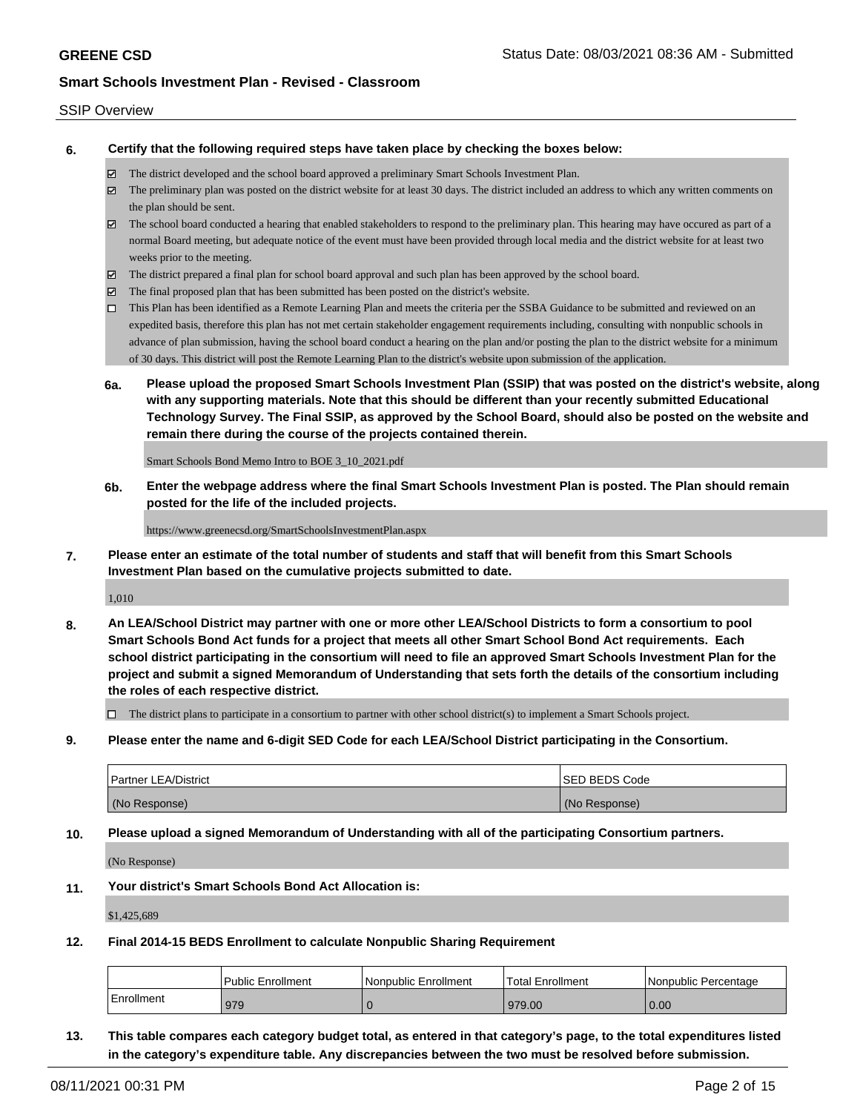#### SSIP Overview

**6. Certify that the following required steps have taken place by checking the boxes below:**

- The district developed and the school board approved a preliminary Smart Schools Investment Plan.
- $\boxtimes$  The preliminary plan was posted on the district website for at least 30 days. The district included an address to which any written comments on the plan should be sent.
- $\boxtimes$  The school board conducted a hearing that enabled stakeholders to respond to the preliminary plan. This hearing may have occured as part of a normal Board meeting, but adequate notice of the event must have been provided through local media and the district website for at least two weeks prior to the meeting.
- The district prepared a final plan for school board approval and such plan has been approved by the school board.
- $\boxtimes$  The final proposed plan that has been submitted has been posted on the district's website.
- This Plan has been identified as a Remote Learning Plan and meets the criteria per the SSBA Guidance to be submitted and reviewed on an expedited basis, therefore this plan has not met certain stakeholder engagement requirements including, consulting with nonpublic schools in advance of plan submission, having the school board conduct a hearing on the plan and/or posting the plan to the district website for a minimum of 30 days. This district will post the Remote Learning Plan to the district's website upon submission of the application.
- **6a. Please upload the proposed Smart Schools Investment Plan (SSIP) that was posted on the district's website, along with any supporting materials. Note that this should be different than your recently submitted Educational Technology Survey. The Final SSIP, as approved by the School Board, should also be posted on the website and remain there during the course of the projects contained therein.**

Smart Schools Bond Memo Intro to BOE 3\_10\_2021.pdf

**6b. Enter the webpage address where the final Smart Schools Investment Plan is posted. The Plan should remain posted for the life of the included projects.**

https://www.greenecsd.org/SmartSchoolsInvestmentPlan.aspx

**7. Please enter an estimate of the total number of students and staff that will benefit from this Smart Schools Investment Plan based on the cumulative projects submitted to date.**

1,010

**8. An LEA/School District may partner with one or more other LEA/School Districts to form a consortium to pool Smart Schools Bond Act funds for a project that meets all other Smart School Bond Act requirements. Each school district participating in the consortium will need to file an approved Smart Schools Investment Plan for the project and submit a signed Memorandum of Understanding that sets forth the details of the consortium including the roles of each respective district.**

 $\Box$  The district plans to participate in a consortium to partner with other school district(s) to implement a Smart Schools project.

**9. Please enter the name and 6-digit SED Code for each LEA/School District participating in the Consortium.**

| <b>Partner LEA/District</b> | <b>ISED BEDS Code</b> |
|-----------------------------|-----------------------|
| (No Response)               | (No Response)         |

**10. Please upload a signed Memorandum of Understanding with all of the participating Consortium partners.**

(No Response)

**11. Your district's Smart Schools Bond Act Allocation is:**

\$1,425,689

**12. Final 2014-15 BEDS Enrollment to calculate Nonpublic Sharing Requirement**

|            | <b>Public Enrollment</b> | l Nonpublic Enrollment | <b>Total Enrollment</b> | l Nonpublic Percentage |
|------------|--------------------------|------------------------|-------------------------|------------------------|
| Enrollment | 979                      |                        | 979.00                  | 0.00                   |

**13. This table compares each category budget total, as entered in that category's page, to the total expenditures listed in the category's expenditure table. Any discrepancies between the two must be resolved before submission.**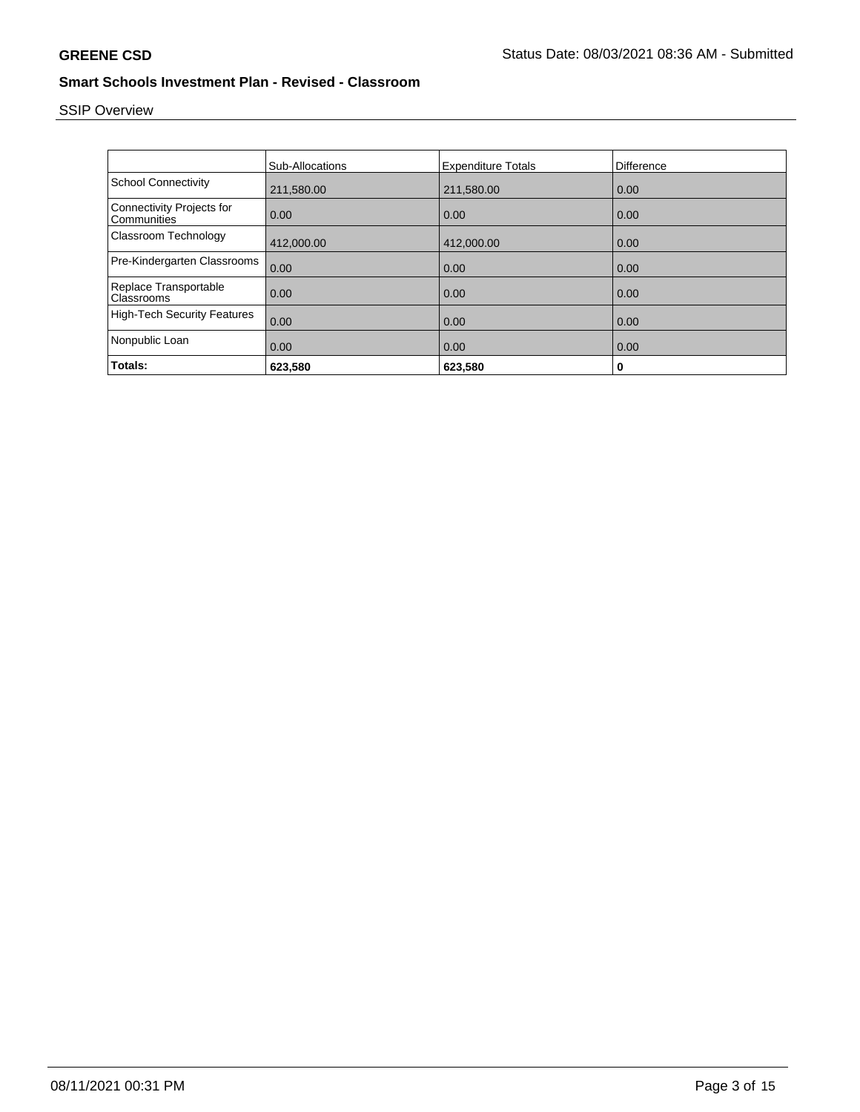# SSIP Overview

|                                                 | <b>Sub-Allocations</b> | <b>Expenditure Totals</b> | <b>Difference</b> |
|-------------------------------------------------|------------------------|---------------------------|-------------------|
| <b>School Connectivity</b>                      | 211,580.00             | 211,580.00                | 0.00              |
| <b>Connectivity Projects for</b><br>Communities | 0.00                   | 0.00                      | 0.00              |
| Classroom Technology                            | 412,000.00             | 412,000.00                | 0.00              |
| Pre-Kindergarten Classrooms                     | 0.00                   | 0.00                      | 0.00              |
| Replace Transportable<br>Classrooms             | 0.00                   | 0.00                      | 0.00              |
| <b>High-Tech Security Features</b>              | 0.00                   | 0.00                      | 0.00              |
| Nonpublic Loan                                  | 0.00                   | 0.00                      | 0.00              |
| Totals:                                         | 623,580                | 623,580                   | 0                 |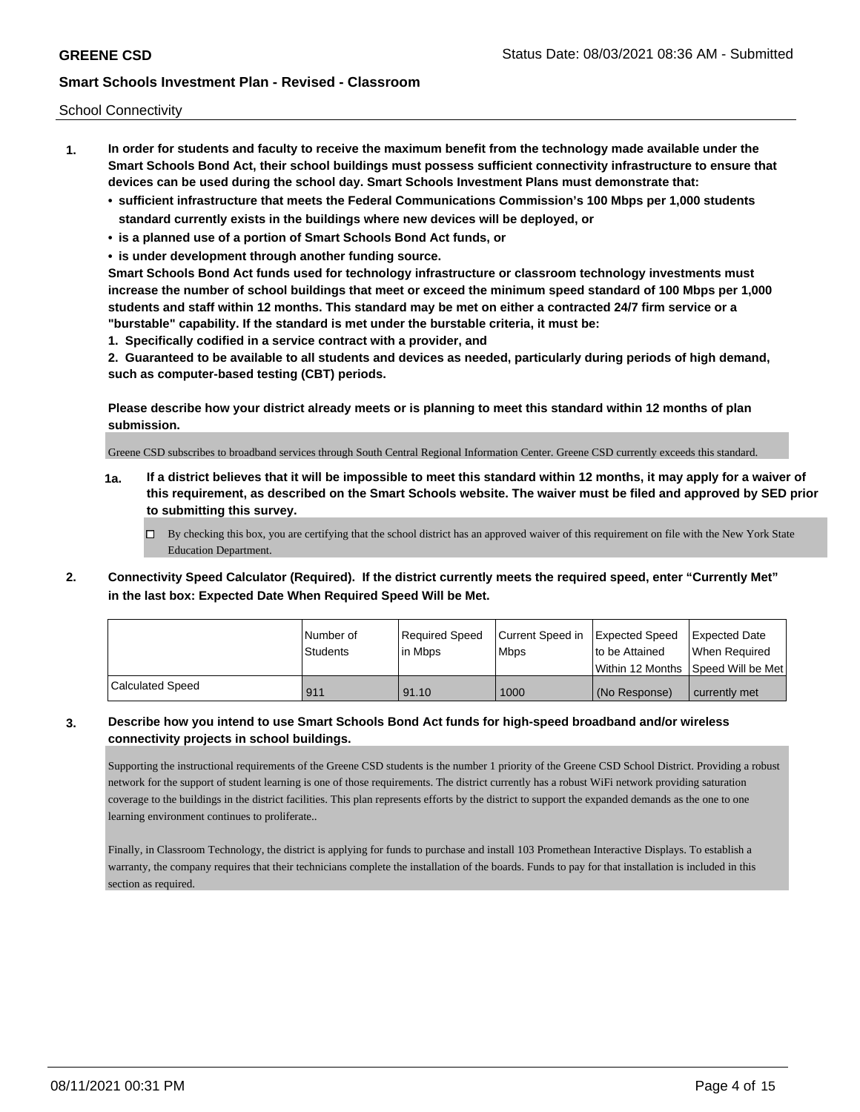School Connectivity

- **1. In order for students and faculty to receive the maximum benefit from the technology made available under the Smart Schools Bond Act, their school buildings must possess sufficient connectivity infrastructure to ensure that devices can be used during the school day. Smart Schools Investment Plans must demonstrate that:**
	- **• sufficient infrastructure that meets the Federal Communications Commission's 100 Mbps per 1,000 students standard currently exists in the buildings where new devices will be deployed, or**
	- **• is a planned use of a portion of Smart Schools Bond Act funds, or**
	- **• is under development through another funding source.**

**Smart Schools Bond Act funds used for technology infrastructure or classroom technology investments must increase the number of school buildings that meet or exceed the minimum speed standard of 100 Mbps per 1,000 students and staff within 12 months. This standard may be met on either a contracted 24/7 firm service or a "burstable" capability. If the standard is met under the burstable criteria, it must be:**

**1. Specifically codified in a service contract with a provider, and**

**2. Guaranteed to be available to all students and devices as needed, particularly during periods of high demand, such as computer-based testing (CBT) periods.**

**Please describe how your district already meets or is planning to meet this standard within 12 months of plan submission.**

Greene CSD subscribes to broadband services through South Central Regional Information Center. Greene CSD currently exceeds this standard.

**1a. If a district believes that it will be impossible to meet this standard within 12 months, it may apply for a waiver of this requirement, as described on the Smart Schools website. The waiver must be filed and approved by SED prior to submitting this survey.**

 $\Box$  By checking this box, you are certifying that the school district has an approved waiver of this requirement on file with the New York State Education Department.

**2. Connectivity Speed Calculator (Required). If the district currently meets the required speed, enter "Currently Met" in the last box: Expected Date When Required Speed Will be Met.**

|                  | l Number of     | Required Speed | Current Speed in Expected Speed |                | Expected Date                      |
|------------------|-----------------|----------------|---------------------------------|----------------|------------------------------------|
|                  | <b>Students</b> | l in Mbps      | <b>Mbps</b>                     | to be Attained | When Required                      |
|                  |                 |                |                                 |                | Within 12 Months Speed Will be Met |
| Calculated Speed | 911             | 91.10          | 1000                            | (No Response)  | l currently met                    |

### **3. Describe how you intend to use Smart Schools Bond Act funds for high-speed broadband and/or wireless connectivity projects in school buildings.**

Supporting the instructional requirements of the Greene CSD students is the number 1 priority of the Greene CSD School District. Providing a robust network for the support of student learning is one of those requirements. The district currently has a robust WiFi network providing saturation coverage to the buildings in the district facilities. This plan represents efforts by the district to support the expanded demands as the one to one learning environment continues to proliferate..

Finally, in Classroom Technology, the district is applying for funds to purchase and install 103 Promethean Interactive Displays. To establish a warranty, the company requires that their technicians complete the installation of the boards. Funds to pay for that installation is included in this section as required.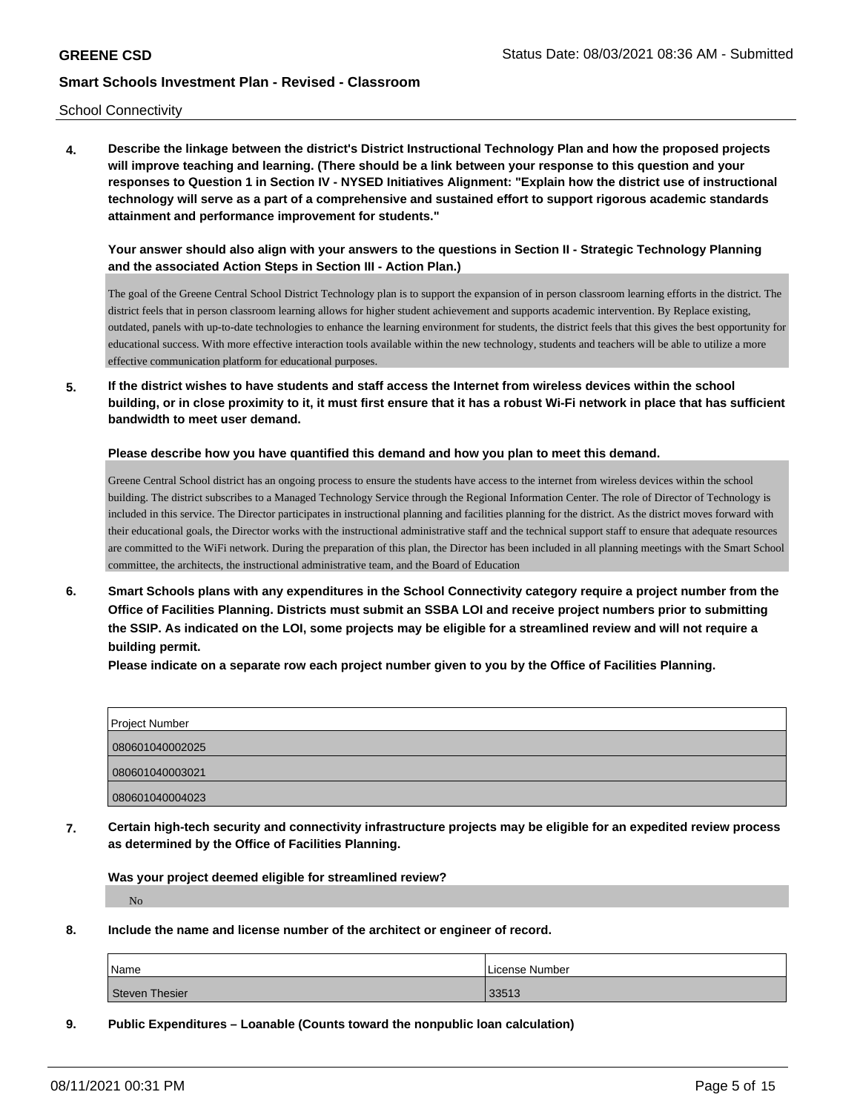School Connectivity

**4. Describe the linkage between the district's District Instructional Technology Plan and how the proposed projects will improve teaching and learning. (There should be a link between your response to this question and your responses to Question 1 in Section IV - NYSED Initiatives Alignment: "Explain how the district use of instructional technology will serve as a part of a comprehensive and sustained effort to support rigorous academic standards attainment and performance improvement for students."** 

**Your answer should also align with your answers to the questions in Section II - Strategic Technology Planning and the associated Action Steps in Section III - Action Plan.)**

The goal of the Greene Central School District Technology plan is to support the expansion of in person classroom learning efforts in the district. The district feels that in person classroom learning allows for higher student achievement and supports academic intervention. By Replace existing, outdated, panels with up-to-date technologies to enhance the learning environment for students, the district feels that this gives the best opportunity for educational success. With more effective interaction tools available within the new technology, students and teachers will be able to utilize a more effective communication platform for educational purposes.

**5. If the district wishes to have students and staff access the Internet from wireless devices within the school building, or in close proximity to it, it must first ensure that it has a robust Wi-Fi network in place that has sufficient bandwidth to meet user demand.**

**Please describe how you have quantified this demand and how you plan to meet this demand.**

Greene Central School district has an ongoing process to ensure the students have access to the internet from wireless devices within the school building. The district subscribes to a Managed Technology Service through the Regional Information Center. The role of Director of Technology is included in this service. The Director participates in instructional planning and facilities planning for the district. As the district moves forward with their educational goals, the Director works with the instructional administrative staff and the technical support staff to ensure that adequate resources are committed to the WiFi network. During the preparation of this plan, the Director has been included in all planning meetings with the Smart School committee, the architects, the instructional administrative team, and the Board of Education

**6. Smart Schools plans with any expenditures in the School Connectivity category require a project number from the Office of Facilities Planning. Districts must submit an SSBA LOI and receive project numbers prior to submitting the SSIP. As indicated on the LOI, some projects may be eligible for a streamlined review and will not require a building permit.**

**Please indicate on a separate row each project number given to you by the Office of Facilities Planning.**

| Project Number  |  |
|-----------------|--|
| 080601040002025 |  |
| 080601040003021 |  |
| 080601040004023 |  |

**7. Certain high-tech security and connectivity infrastructure projects may be eligible for an expedited review process as determined by the Office of Facilities Planning.**

**Was your project deemed eligible for streamlined review?**

No

**8. Include the name and license number of the architect or engineer of record.**

| Name           | License Number |
|----------------|----------------|
| Steven Thesier | 33513          |

**9. Public Expenditures – Loanable (Counts toward the nonpublic loan calculation)**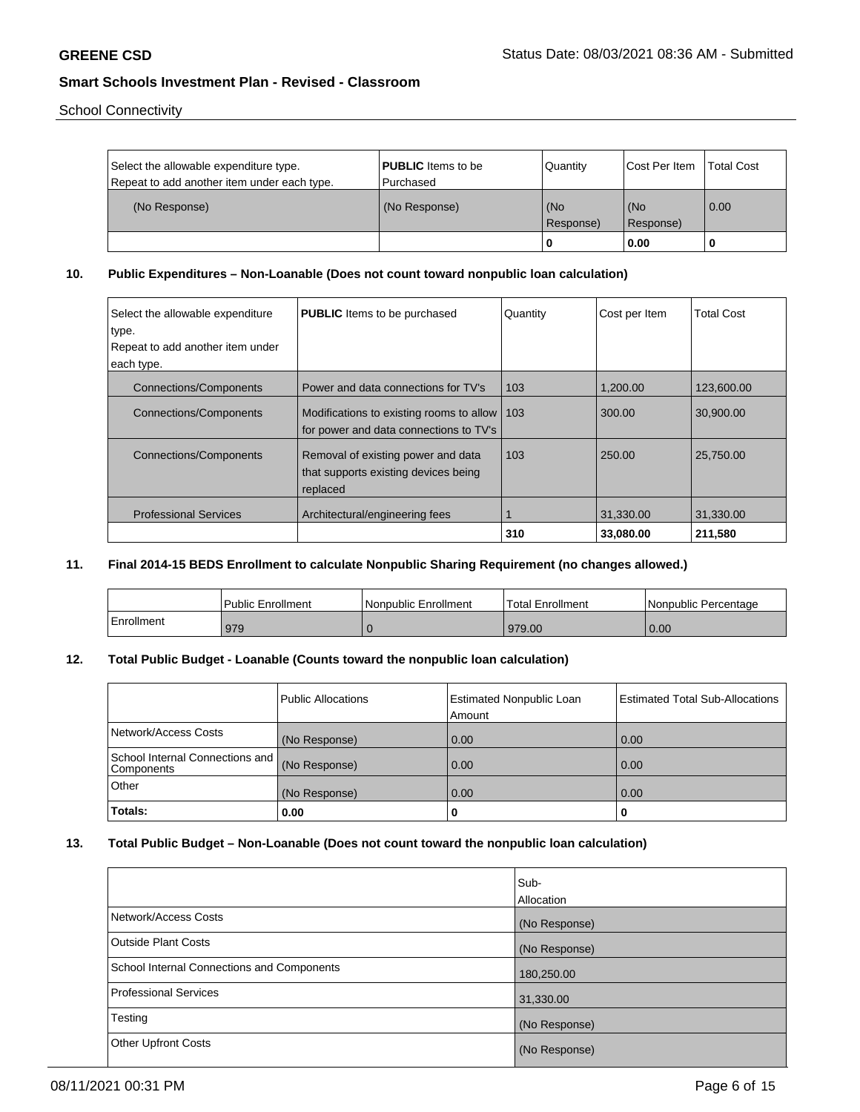School Connectivity

| Select the allowable expenditure type.<br>Repeat to add another item under each type. | <b>PUBLIC</b> Items to be<br>l Purchased | Quantity         | <b>Cost Per Item</b> | Total Cost        |
|---------------------------------------------------------------------------------------|------------------------------------------|------------------|----------------------|-------------------|
| (No Response)                                                                         | (No Response)                            | (No<br>Response) | (No<br>Response)     | $\overline{0.00}$ |
|                                                                                       |                                          | 0                | 0.00                 |                   |

## **10. Public Expenditures – Non-Loanable (Does not count toward nonpublic loan calculation)**

| Select the allowable expenditure<br>type. | <b>PUBLIC</b> Items to be purchased                                                      | Quantity | Cost per Item | <b>Total Cost</b> |
|-------------------------------------------|------------------------------------------------------------------------------------------|----------|---------------|-------------------|
| Repeat to add another item under          |                                                                                          |          |               |                   |
| each type.                                |                                                                                          |          |               |                   |
| <b>Connections/Components</b>             | Power and data connections for TV's                                                      | 103      | 1.200.00      | 123.600.00        |
| <b>Connections/Components</b>             | Modifications to existing rooms to allow   103<br>for power and data connections to TV's |          | 300.00        | 30,900.00         |
| <b>Connections/Components</b>             | Removal of existing power and data<br>that supports existing devices being<br>replaced   | 103      | 250.00        | 25.750.00         |
| <b>Professional Services</b>              | Architectural/engineering fees                                                           |          | 31,330.00     | 31,330.00         |
|                                           |                                                                                          | 310      | 33,080.00     | 211,580           |

## **11. Final 2014-15 BEDS Enrollment to calculate Nonpublic Sharing Requirement (no changes allowed.)**

|            | Public Enrollment | Nonpublic Enrollment | Total Enrollment | Nonpublic Percentage |
|------------|-------------------|----------------------|------------------|----------------------|
| Enrollment | 979               |                      | 979.00           | 0.00                 |

## **12. Total Public Budget - Loanable (Counts toward the nonpublic loan calculation)**

|                                                      | <b>Public Allocations</b> | <b>Estimated Nonpublic Loan</b><br>Amount | <b>Estimated Total Sub-Allocations</b> |
|------------------------------------------------------|---------------------------|-------------------------------------------|----------------------------------------|
| Network/Access Costs                                 | (No Response)             | 0.00                                      | 0.00                                   |
| School Internal Connections and<br><b>Components</b> | (No Response)             | 0.00                                      | 0.00                                   |
| <b>Other</b>                                         | (No Response)             | 0.00                                      | 0.00                                   |
| Totals:                                              | 0.00                      |                                           |                                        |

## **13. Total Public Budget – Non-Loanable (Does not count toward the nonpublic loan calculation)**

|                                            | Sub-<br>Allocation |
|--------------------------------------------|--------------------|
| Network/Access Costs                       | (No Response)      |
| <b>Outside Plant Costs</b>                 | (No Response)      |
| School Internal Connections and Components | 180,250.00         |
| <b>Professional Services</b>               | 31,330.00          |
| Testing                                    | (No Response)      |
| <b>Other Upfront Costs</b>                 | (No Response)      |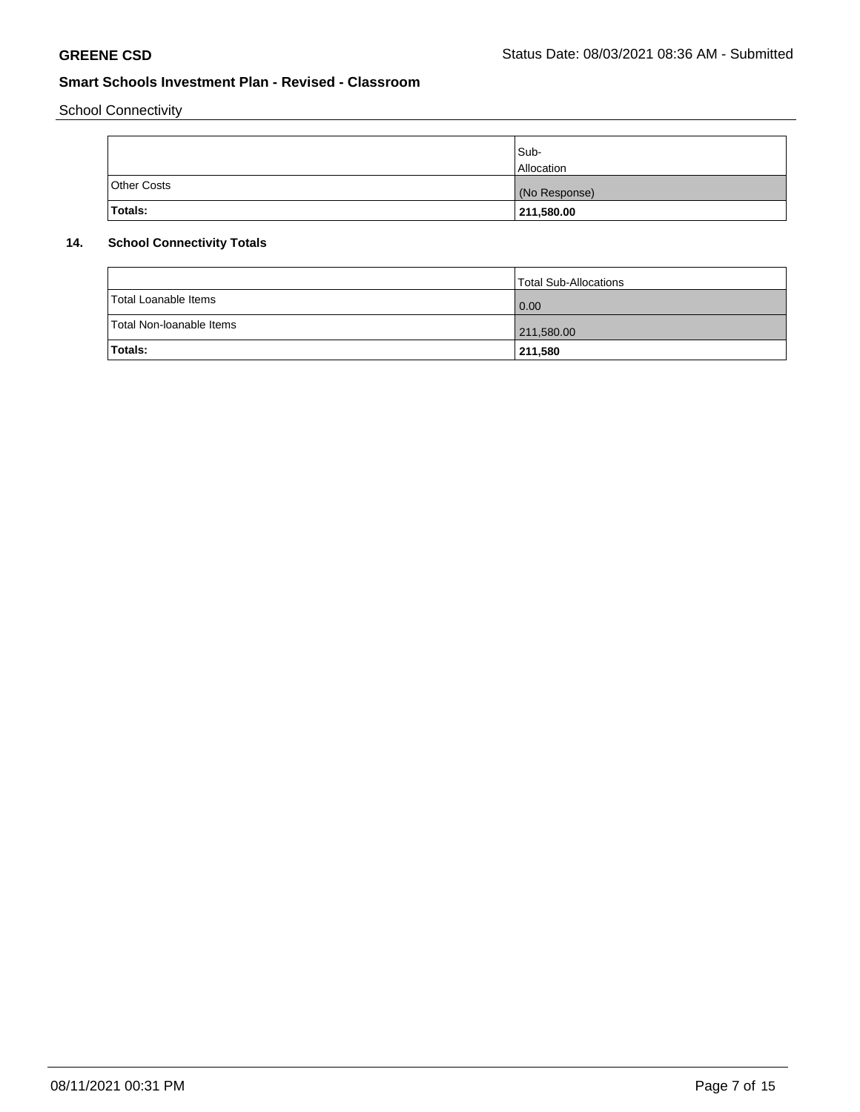School Connectivity

|                    | Sub-<br><b>Allocation</b> |
|--------------------|---------------------------|
| <b>Other Costs</b> | (No Response)             |
| Totals:            | 211,580.00                |

## **14. School Connectivity Totals**

|                          | Total Sub-Allocations |
|--------------------------|-----------------------|
| Total Loanable Items     | 0.00                  |
| Total Non-Ioanable Items | 211,580.00            |
| <b>Totals:</b>           | 211,580               |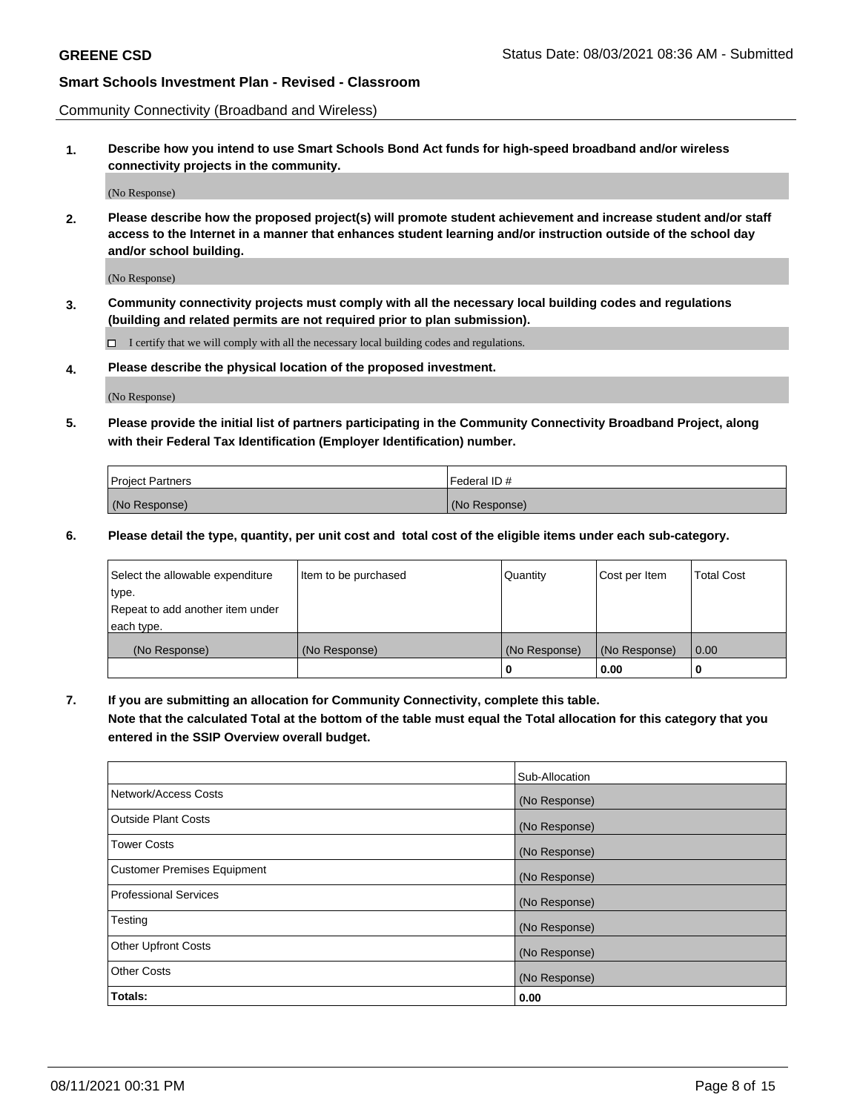Community Connectivity (Broadband and Wireless)

**1. Describe how you intend to use Smart Schools Bond Act funds for high-speed broadband and/or wireless connectivity projects in the community.**

(No Response)

**2. Please describe how the proposed project(s) will promote student achievement and increase student and/or staff access to the Internet in a manner that enhances student learning and/or instruction outside of the school day and/or school building.**

(No Response)

**3. Community connectivity projects must comply with all the necessary local building codes and regulations (building and related permits are not required prior to plan submission).**

 $\Box$  I certify that we will comply with all the necessary local building codes and regulations.

**4. Please describe the physical location of the proposed investment.**

(No Response)

**5. Please provide the initial list of partners participating in the Community Connectivity Broadband Project, along with their Federal Tax Identification (Employer Identification) number.**

| <b>Project Partners</b> | l Federal ID # |
|-------------------------|----------------|
| (No Response)           | (No Response)  |

**6. Please detail the type, quantity, per unit cost and total cost of the eligible items under each sub-category.**

| Select the allowable expenditure | Item to be purchased | Quantity      | Cost per Item | <b>Total Cost</b> |
|----------------------------------|----------------------|---------------|---------------|-------------------|
| type.                            |                      |               |               |                   |
| Repeat to add another item under |                      |               |               |                   |
| each type.                       |                      |               |               |                   |
| (No Response)                    | (No Response)        | (No Response) | (No Response) | 0.00              |
|                                  |                      | o             | 0.00          |                   |

**7. If you are submitting an allocation for Community Connectivity, complete this table.**

**Note that the calculated Total at the bottom of the table must equal the Total allocation for this category that you entered in the SSIP Overview overall budget.**

|                                    | Sub-Allocation |
|------------------------------------|----------------|
| Network/Access Costs               | (No Response)  |
| Outside Plant Costs                | (No Response)  |
| <b>Tower Costs</b>                 | (No Response)  |
| <b>Customer Premises Equipment</b> | (No Response)  |
| <b>Professional Services</b>       | (No Response)  |
| Testing                            | (No Response)  |
| <b>Other Upfront Costs</b>         | (No Response)  |
| <b>Other Costs</b>                 | (No Response)  |
| Totals:                            | 0.00           |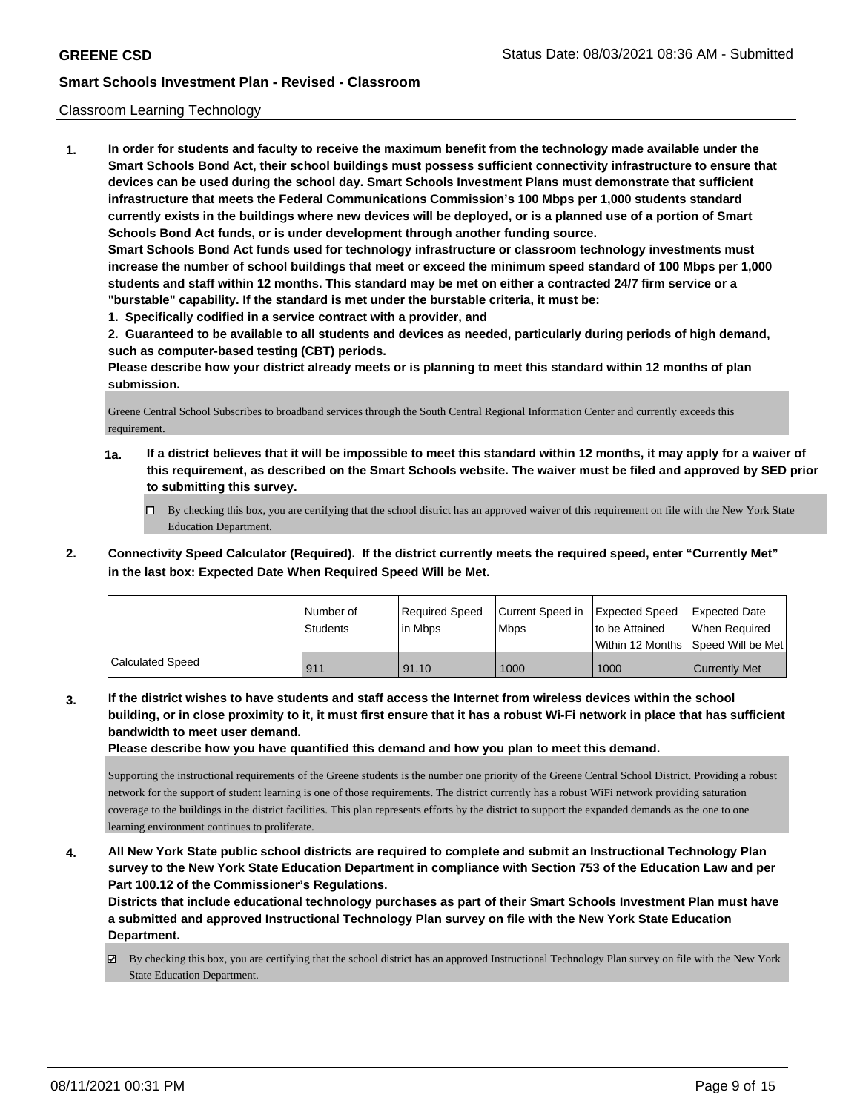### Classroom Learning Technology

**1. In order for students and faculty to receive the maximum benefit from the technology made available under the Smart Schools Bond Act, their school buildings must possess sufficient connectivity infrastructure to ensure that devices can be used during the school day. Smart Schools Investment Plans must demonstrate that sufficient infrastructure that meets the Federal Communications Commission's 100 Mbps per 1,000 students standard currently exists in the buildings where new devices will be deployed, or is a planned use of a portion of Smart Schools Bond Act funds, or is under development through another funding source. Smart Schools Bond Act funds used for technology infrastructure or classroom technology investments must increase the number of school buildings that meet or exceed the minimum speed standard of 100 Mbps per 1,000 students and staff within 12 months. This standard may be met on either a contracted 24/7 firm service or a "burstable" capability. If the standard is met under the burstable criteria, it must be:**

**1. Specifically codified in a service contract with a provider, and**

**2. Guaranteed to be available to all students and devices as needed, particularly during periods of high demand, such as computer-based testing (CBT) periods.**

**Please describe how your district already meets or is planning to meet this standard within 12 months of plan submission.**

Greene Central School Subscribes to broadband services through the South Central Regional Information Center and currently exceeds this requirement.

- **1a. If a district believes that it will be impossible to meet this standard within 12 months, it may apply for a waiver of this requirement, as described on the Smart Schools website. The waiver must be filed and approved by SED prior to submitting this survey.**
	- By checking this box, you are certifying that the school district has an approved waiver of this requirement on file with the New York State Education Department.
- **2. Connectivity Speed Calculator (Required). If the district currently meets the required speed, enter "Currently Met" in the last box: Expected Date When Required Speed Will be Met.**

|                  | l Number of<br>Students | Required Speed<br>l in Mbps | Current Speed in<br>Mbps | Expected Speed<br>to be Attained | <b>Expected Date</b><br>When Required<br> Within 12 Months  Speed Will be Met |
|------------------|-------------------------|-----------------------------|--------------------------|----------------------------------|-------------------------------------------------------------------------------|
| Calculated Speed | 911                     | 91.10                       | 1000                     | 1000                             | <b>Currently Met</b>                                                          |

**3. If the district wishes to have students and staff access the Internet from wireless devices within the school building, or in close proximity to it, it must first ensure that it has a robust Wi-Fi network in place that has sufficient bandwidth to meet user demand.**

**Please describe how you have quantified this demand and how you plan to meet this demand.**

Supporting the instructional requirements of the Greene students is the number one priority of the Greene Central School District. Providing a robust network for the support of student learning is one of those requirements. The district currently has a robust WiFi network providing saturation coverage to the buildings in the district facilities. This plan represents efforts by the district to support the expanded demands as the one to one learning environment continues to proliferate.

**4. All New York State public school districts are required to complete and submit an Instructional Technology Plan survey to the New York State Education Department in compliance with Section 753 of the Education Law and per Part 100.12 of the Commissioner's Regulations.**

**Districts that include educational technology purchases as part of their Smart Schools Investment Plan must have a submitted and approved Instructional Technology Plan survey on file with the New York State Education Department.**

By checking this box, you are certifying that the school district has an approved Instructional Technology Plan survey on file with the New York State Education Department.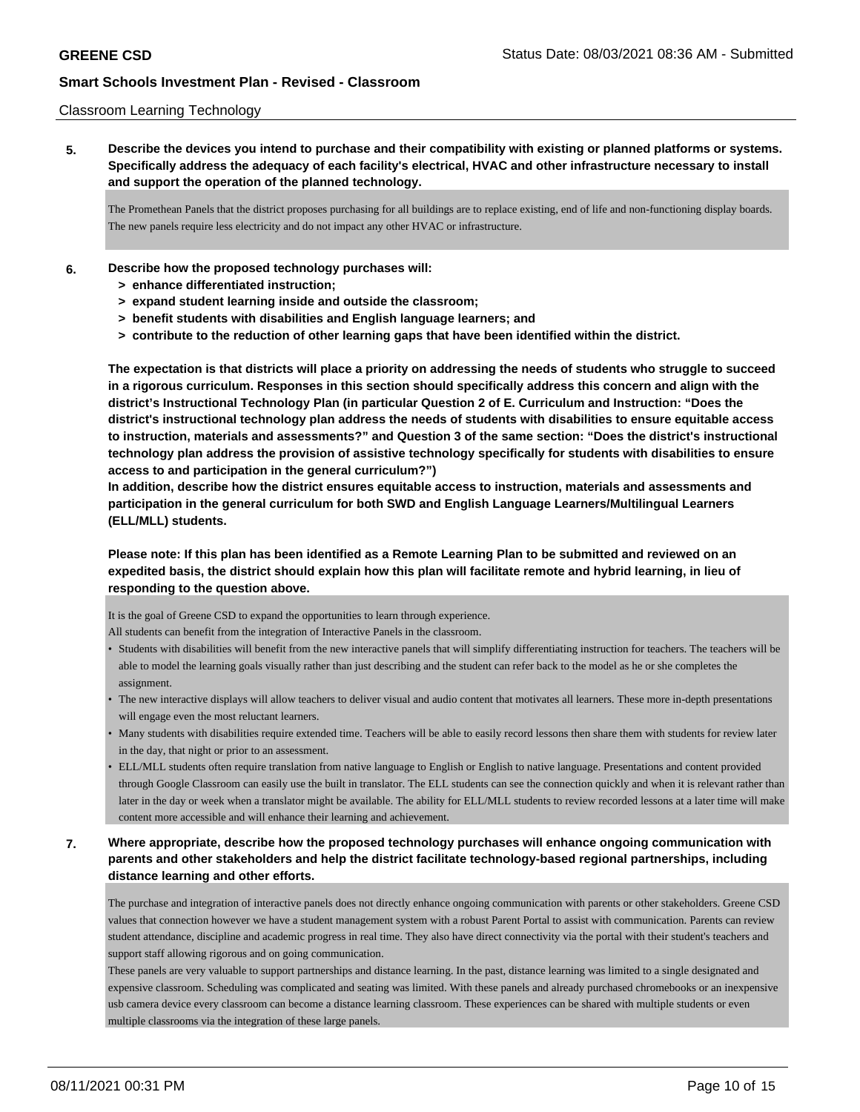### Classroom Learning Technology

**5. Describe the devices you intend to purchase and their compatibility with existing or planned platforms or systems. Specifically address the adequacy of each facility's electrical, HVAC and other infrastructure necessary to install and support the operation of the planned technology.**

The Promethean Panels that the district proposes purchasing for all buildings are to replace existing, end of life and non-functioning display boards. The new panels require less electricity and do not impact any other HVAC or infrastructure.

- **6. Describe how the proposed technology purchases will:**
	- **> enhance differentiated instruction;**
	- **> expand student learning inside and outside the classroom;**
	- **> benefit students with disabilities and English language learners; and**
	- **> contribute to the reduction of other learning gaps that have been identified within the district.**

**The expectation is that districts will place a priority on addressing the needs of students who struggle to succeed in a rigorous curriculum. Responses in this section should specifically address this concern and align with the district's Instructional Technology Plan (in particular Question 2 of E. Curriculum and Instruction: "Does the district's instructional technology plan address the needs of students with disabilities to ensure equitable access to instruction, materials and assessments?" and Question 3 of the same section: "Does the district's instructional technology plan address the provision of assistive technology specifically for students with disabilities to ensure access to and participation in the general curriculum?")**

**In addition, describe how the district ensures equitable access to instruction, materials and assessments and participation in the general curriculum for both SWD and English Language Learners/Multilingual Learners (ELL/MLL) students.**

**Please note: If this plan has been identified as a Remote Learning Plan to be submitted and reviewed on an expedited basis, the district should explain how this plan will facilitate remote and hybrid learning, in lieu of responding to the question above.**

It is the goal of Greene CSD to expand the opportunities to learn through experience.

All students can benefit from the integration of Interactive Panels in the classroom.

- Students with disabilities will benefit from the new interactive panels that will simplify differentiating instruction for teachers. The teachers will be able to model the learning goals visually rather than just describing and the student can refer back to the model as he or she completes the assignment.
- The new interactive displays will allow teachers to deliver visual and audio content that motivates all learners. These more in-depth presentations will engage even the most reluctant learners.
- Many students with disabilities require extended time. Teachers will be able to easily record lessons then share them with students for review later in the day, that night or prior to an assessment.
- ELL/MLL students often require translation from native language to English or English to native language. Presentations and content provided through Google Classroom can easily use the built in translator. The ELL students can see the connection quickly and when it is relevant rather than later in the day or week when a translator might be available. The ability for ELL/MLL students to review recorded lessons at a later time will make content more accessible and will enhance their learning and achievement.
- **7. Where appropriate, describe how the proposed technology purchases will enhance ongoing communication with parents and other stakeholders and help the district facilitate technology-based regional partnerships, including distance learning and other efforts.**

The purchase and integration of interactive panels does not directly enhance ongoing communication with parents or other stakeholders. Greene CSD values that connection however we have a student management system with a robust Parent Portal to assist with communication. Parents can review student attendance, discipline and academic progress in real time. They also have direct connectivity via the portal with their student's teachers and support staff allowing rigorous and on going communication.

These panels are very valuable to support partnerships and distance learning. In the past, distance learning was limited to a single designated and expensive classroom. Scheduling was complicated and seating was limited. With these panels and already purchased chromebooks or an inexpensive usb camera device every classroom can become a distance learning classroom. These experiences can be shared with multiple students or even multiple classrooms via the integration of these large panels.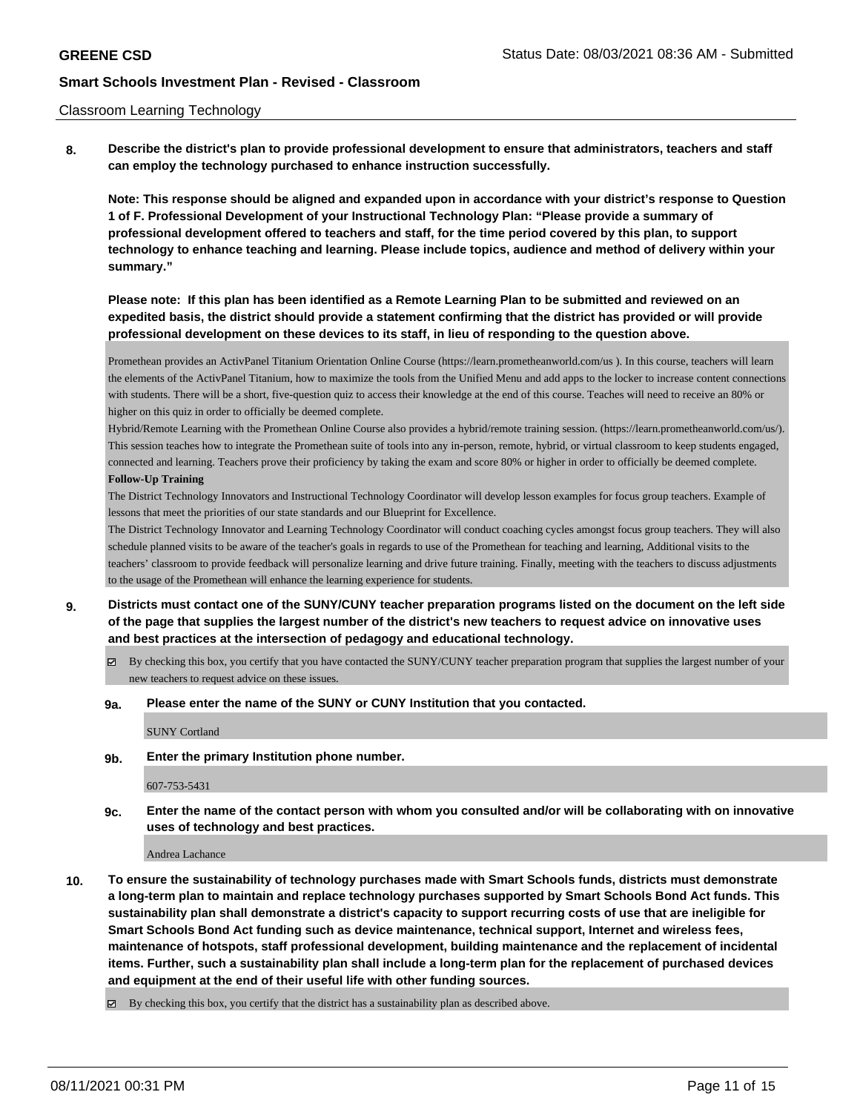### Classroom Learning Technology

**8. Describe the district's plan to provide professional development to ensure that administrators, teachers and staff can employ the technology purchased to enhance instruction successfully.**

**Note: This response should be aligned and expanded upon in accordance with your district's response to Question 1 of F. Professional Development of your Instructional Technology Plan: "Please provide a summary of professional development offered to teachers and staff, for the time period covered by this plan, to support technology to enhance teaching and learning. Please include topics, audience and method of delivery within your summary."**

**Please note: If this plan has been identified as a Remote Learning Plan to be submitted and reviewed on an expedited basis, the district should provide a statement confirming that the district has provided or will provide professional development on these devices to its staff, in lieu of responding to the question above.**

Promethean provides an ActivPanel Titanium Orientation Online Course (https://learn.prometheanworld.com/us ). In this course, teachers will learn the elements of the ActivPanel Titanium, how to maximize the tools from the Unified Menu and add apps to the locker to increase content connections with students. There will be a short, five-question quiz to access their knowledge at the end of this course. Teaches will need to receive an 80% or higher on this quiz in order to officially be deemed complete.

Hybrid/Remote Learning with the Promethean Online Course also provides a hybrid/remote training session. (https://learn.prometheanworld.com/us/). This session teaches how to integrate the Promethean suite of tools into any in-person, remote, hybrid, or virtual classroom to keep students engaged, connected and learning. Teachers prove their proficiency by taking the exam and score 80% or higher in order to officially be deemed complete. **Follow-Up Training**

The District Technology Innovators and Instructional Technology Coordinator will develop lesson examples for focus group teachers. Example of lessons that meet the priorities of our state standards and our Blueprint for Excellence.

The District Technology Innovator and Learning Technology Coordinator will conduct coaching cycles amongst focus group teachers. They will also schedule planned visits to be aware of the teacher's goals in regards to use of the Promethean for teaching and learning, Additional visits to the teachers' classroom to provide feedback will personalize learning and drive future training. Finally, meeting with the teachers to discuss adjustments to the usage of the Promethean will enhance the learning experience for students.

- **9. Districts must contact one of the SUNY/CUNY teacher preparation programs listed on the document on the left side of the page that supplies the largest number of the district's new teachers to request advice on innovative uses and best practices at the intersection of pedagogy and educational technology.**
	- By checking this box, you certify that you have contacted the SUNY/CUNY teacher preparation program that supplies the largest number of your new teachers to request advice on these issues.

### **9a. Please enter the name of the SUNY or CUNY Institution that you contacted.**

SUNY Cortland

**9b. Enter the primary Institution phone number.**

607-753-5431

**9c. Enter the name of the contact person with whom you consulted and/or will be collaborating with on innovative uses of technology and best practices.**

Andrea Lachance

**10. To ensure the sustainability of technology purchases made with Smart Schools funds, districts must demonstrate a long-term plan to maintain and replace technology purchases supported by Smart Schools Bond Act funds. This sustainability plan shall demonstrate a district's capacity to support recurring costs of use that are ineligible for Smart Schools Bond Act funding such as device maintenance, technical support, Internet and wireless fees, maintenance of hotspots, staff professional development, building maintenance and the replacement of incidental items. Further, such a sustainability plan shall include a long-term plan for the replacement of purchased devices and equipment at the end of their useful life with other funding sources.**

By checking this box, you certify that the district has a sustainability plan as described above.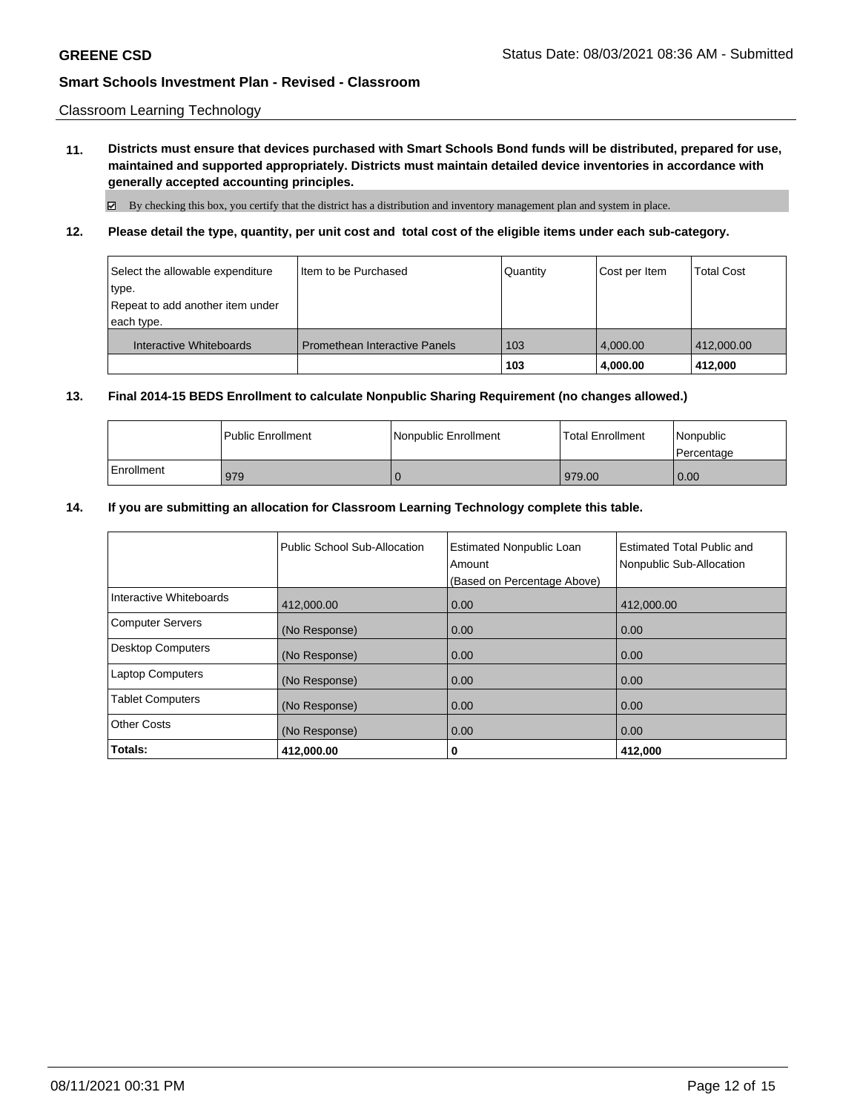Classroom Learning Technology

**11. Districts must ensure that devices purchased with Smart Schools Bond funds will be distributed, prepared for use, maintained and supported appropriately. Districts must maintain detailed device inventories in accordance with generally accepted accounting principles.**

 $\boxtimes$  By checking this box, you certify that the district has a distribution and inventory management plan and system in place.

**12. Please detail the type, quantity, per unit cost and total cost of the eligible items under each sub-category.**

| Select the allowable expenditure<br>∣type.<br>Repeat to add another item under<br>each type. | Iltem to be Purchased                | Quantity | Cost per Item | <b>Total Cost</b> |
|----------------------------------------------------------------------------------------------|--------------------------------------|----------|---------------|-------------------|
| Interactive Whiteboards                                                                      | <b>Promethean Interactive Panels</b> | 103      | 4.000.00      | 412,000.00        |
|                                                                                              |                                      | 103      | 4.000.00      | 412.000           |

### **13. Final 2014-15 BEDS Enrollment to calculate Nonpublic Sharing Requirement (no changes allowed.)**

|            | <b>I Public Enrollment</b> | l Nonpublic Enrollment | <b>Total Enrollment</b> | Nonpublic<br>l Percentage |
|------------|----------------------------|------------------------|-------------------------|---------------------------|
| Enrollment | 979                        |                        | 979.00                  | 0.00                      |

#### **14. If you are submitting an allocation for Classroom Learning Technology complete this table.**

|                          | Public School Sub-Allocation | <b>Estimated Nonpublic Loan</b><br>Amount | <b>Estimated Total Public and</b><br>Nonpublic Sub-Allocation |
|--------------------------|------------------------------|-------------------------------------------|---------------------------------------------------------------|
|                          |                              | (Based on Percentage Above)               |                                                               |
| Interactive Whiteboards  | 412,000.00                   | 0.00                                      | 412,000.00                                                    |
| <b>Computer Servers</b>  | (No Response)                | 0.00                                      | 0.00                                                          |
| <b>Desktop Computers</b> | (No Response)                | 0.00                                      | 0.00                                                          |
| <b>Laptop Computers</b>  | (No Response)                | 0.00                                      | 0.00                                                          |
| <b>Tablet Computers</b>  | (No Response)                | 0.00                                      | 0.00                                                          |
| Other Costs              | (No Response)                | 0.00                                      | 0.00                                                          |
| Totals:                  | 412,000.00                   | 0                                         | 412,000                                                       |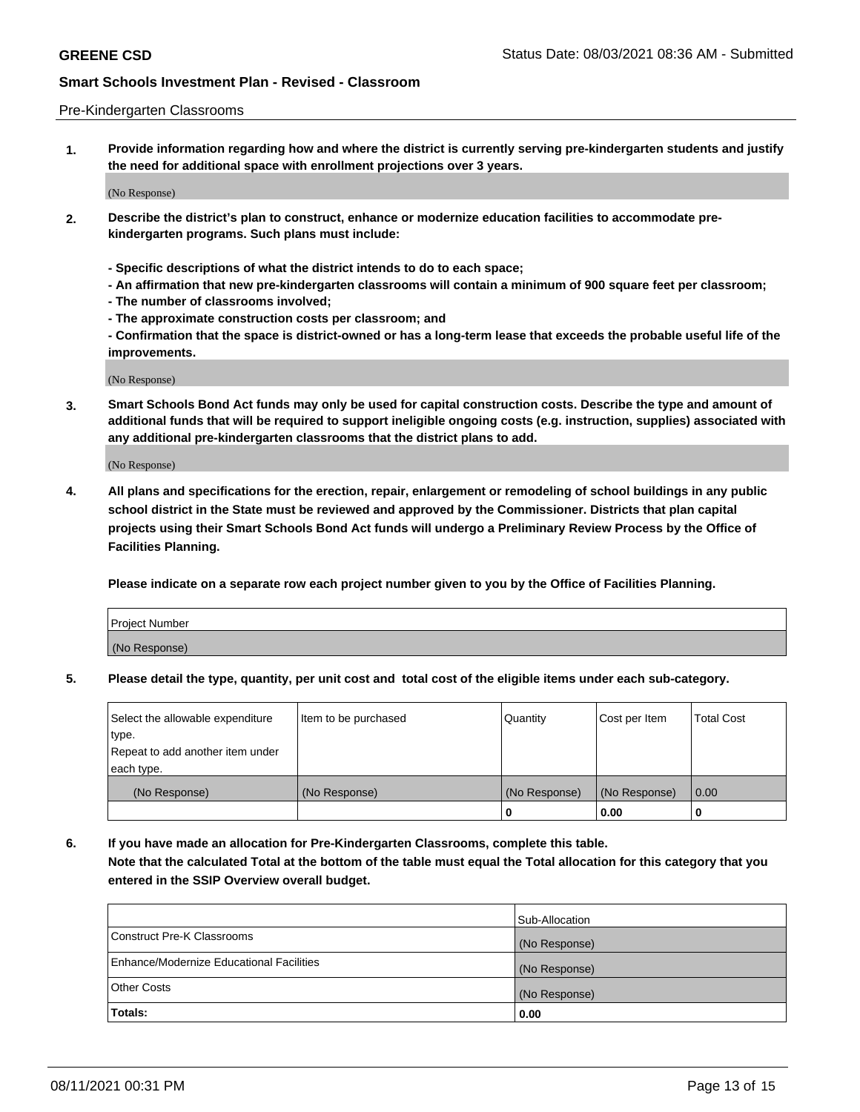### Pre-Kindergarten Classrooms

**1. Provide information regarding how and where the district is currently serving pre-kindergarten students and justify the need for additional space with enrollment projections over 3 years.**

(No Response)

- **2. Describe the district's plan to construct, enhance or modernize education facilities to accommodate prekindergarten programs. Such plans must include:**
	- **Specific descriptions of what the district intends to do to each space;**
	- **An affirmation that new pre-kindergarten classrooms will contain a minimum of 900 square feet per classroom;**
	- **The number of classrooms involved;**
	- **The approximate construction costs per classroom; and**
	- **Confirmation that the space is district-owned or has a long-term lease that exceeds the probable useful life of the improvements.**

(No Response)

**3. Smart Schools Bond Act funds may only be used for capital construction costs. Describe the type and amount of additional funds that will be required to support ineligible ongoing costs (e.g. instruction, supplies) associated with any additional pre-kindergarten classrooms that the district plans to add.**

(No Response)

**4. All plans and specifications for the erection, repair, enlargement or remodeling of school buildings in any public school district in the State must be reviewed and approved by the Commissioner. Districts that plan capital projects using their Smart Schools Bond Act funds will undergo a Preliminary Review Process by the Office of Facilities Planning.**

**Please indicate on a separate row each project number given to you by the Office of Facilities Planning.**

| Project Number |  |
|----------------|--|
| (No Response)  |  |
|                |  |

**5. Please detail the type, quantity, per unit cost and total cost of the eligible items under each sub-category.**

| Select the allowable expenditure | Item to be purchased | Quantity      | Cost per Item | <b>Total Cost</b> |
|----------------------------------|----------------------|---------------|---------------|-------------------|
| type.                            |                      |               |               |                   |
| Repeat to add another item under |                      |               |               |                   |
| each type.                       |                      |               |               |                   |
| (No Response)                    | (No Response)        | (No Response) | (No Response) | 0.00              |
|                                  |                      | U             | 0.00          |                   |

**6. If you have made an allocation for Pre-Kindergarten Classrooms, complete this table. Note that the calculated Total at the bottom of the table must equal the Total allocation for this category that you entered in the SSIP Overview overall budget.**

|                                          | Sub-Allocation |
|------------------------------------------|----------------|
| Construct Pre-K Classrooms               | (No Response)  |
| Enhance/Modernize Educational Facilities | (No Response)  |
| <b>Other Costs</b>                       | (No Response)  |
| Totals:                                  | 0.00           |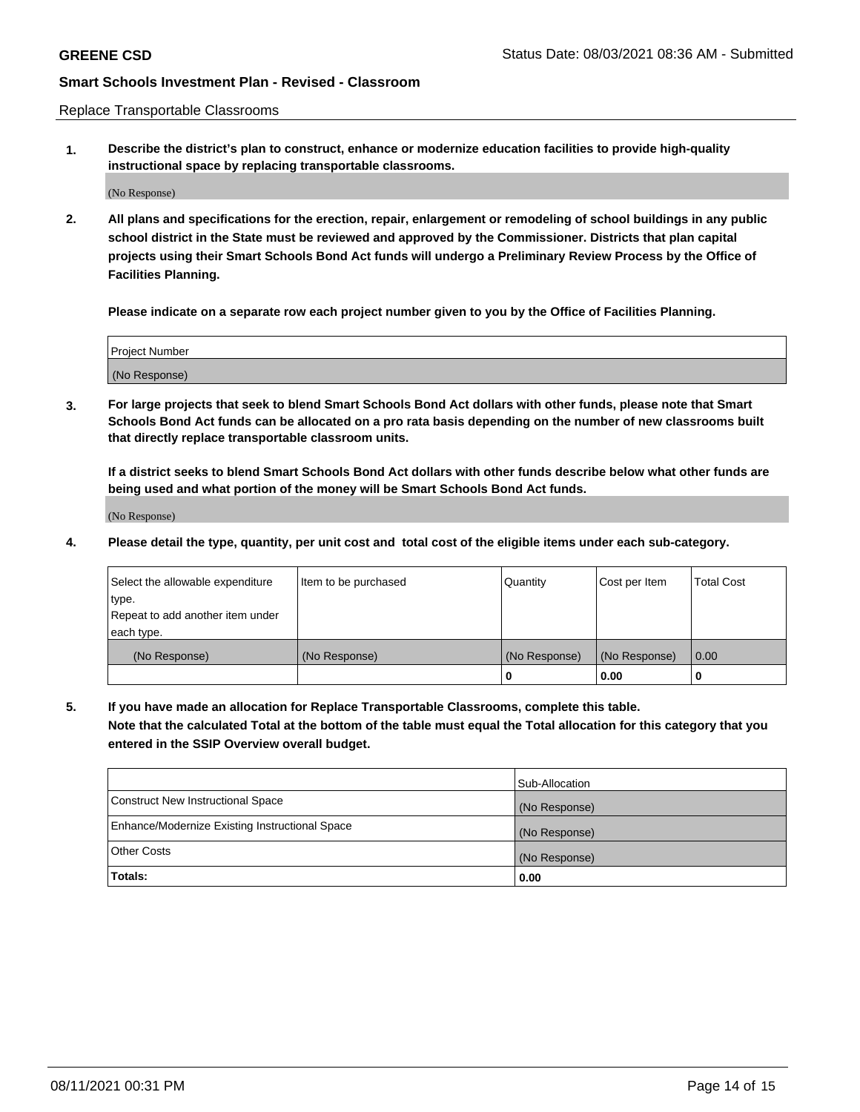Replace Transportable Classrooms

**1. Describe the district's plan to construct, enhance or modernize education facilities to provide high-quality instructional space by replacing transportable classrooms.**

(No Response)

**2. All plans and specifications for the erection, repair, enlargement or remodeling of school buildings in any public school district in the State must be reviewed and approved by the Commissioner. Districts that plan capital projects using their Smart Schools Bond Act funds will undergo a Preliminary Review Process by the Office of Facilities Planning.**

**Please indicate on a separate row each project number given to you by the Office of Facilities Planning.**

| Project Number |  |
|----------------|--|
|                |  |
|                |  |
|                |  |
| (No Response)  |  |
|                |  |
|                |  |

**3. For large projects that seek to blend Smart Schools Bond Act dollars with other funds, please note that Smart Schools Bond Act funds can be allocated on a pro rata basis depending on the number of new classrooms built that directly replace transportable classroom units.**

**If a district seeks to blend Smart Schools Bond Act dollars with other funds describe below what other funds are being used and what portion of the money will be Smart Schools Bond Act funds.**

(No Response)

**4. Please detail the type, quantity, per unit cost and total cost of the eligible items under each sub-category.**

| Select the allowable expenditure | Item to be purchased | Quantity      | Cost per Item | <b>Total Cost</b> |
|----------------------------------|----------------------|---------------|---------------|-------------------|
| type.                            |                      |               |               |                   |
| Repeat to add another item under |                      |               |               |                   |
| each type.                       |                      |               |               |                   |
| (No Response)                    | (No Response)        | (No Response) | (No Response) | 0.00              |
|                                  |                      |               | 0.00          |                   |

**5. If you have made an allocation for Replace Transportable Classrooms, complete this table. Note that the calculated Total at the bottom of the table must equal the Total allocation for this category that you entered in the SSIP Overview overall budget.**

|                                                | Sub-Allocation |
|------------------------------------------------|----------------|
| Construct New Instructional Space              | (No Response)  |
| Enhance/Modernize Existing Instructional Space | (No Response)  |
| Other Costs                                    | (No Response)  |
| Totals:                                        | 0.00           |